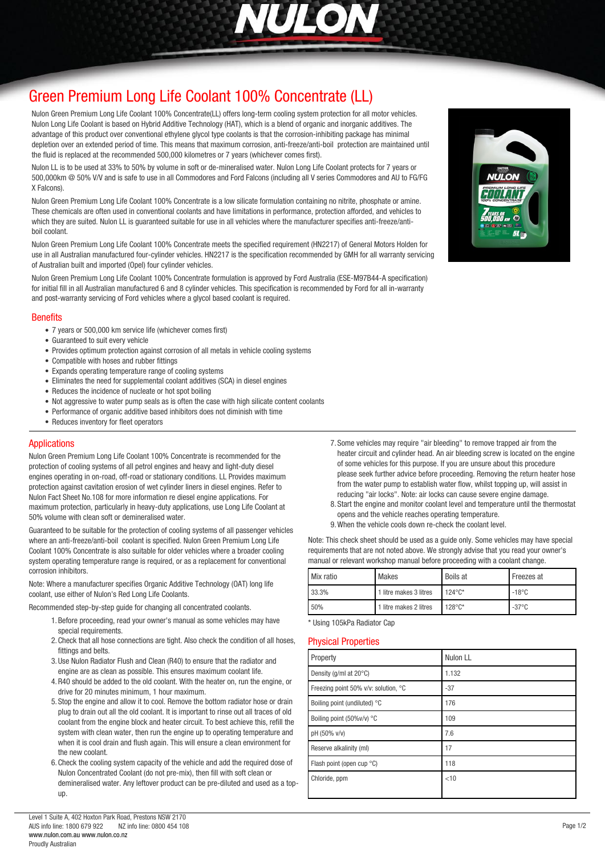

# *[Green Premium Long Life Coolant 100% Concentrate \(LL\)](http://www.nulon.com.au)*

*Nulon Green Premium Long Life Coolant 100% Concentrate(LL) offers long-term cooling system protection for all motor vehicles. Nulon Long Life Coolant is based on Hybrid Additive Technology (HAT), which is a blend of organic and inorganic additives. The advantage of this product over conventional ethylene glycol type coolants is that the corrosion-inhibiting package has minimal depletion over an extended period of time. This means that maximum corrosion, anti-freeze/anti-boil protection are maintained until the fluid is replaced at the recommended 500,000 kilometres or 7 years (whichever comes first).*

*Nulon LL is to be used at 33% to 50% by volume in soft or de-mineralised water. Nulon Long Life Coolant protects for 7 years or 500,000km @ 50% V/V and is safe to use in all Commodores and Ford Falcons (including all V series Commodores and AU to FG/FG X Falcons).*

*Nulon Green Premium Long Life Coolant 100% Concentrate is a low silicate formulation containing no nitrite, phosphate or amine. These chemicals are often used in conventional coolants and have limitations in performance, protection afforded, and vehicles to which they are suited. Nulon LL is guaranteed suitable for use in all vehicles where the manufacturer specifies anti-freeze/antiboil coolant.*

*Nulon Green Premium Long Life Coolant 100% Concentrate meets the specified requirement (HN2217) of General Motors Holden for use in all Australian manufactured four-cylinder vehicles. HN2217 is the specification recommended by GMH for all warranty servicing of Australian built and imported (Opel) four cylinder vehicles.*

*Nulon Green Premium Long Life Coolant 100% Concentrate formulation is approved by Ford Australia (ESE-M97B44-A specification) for initial fill in all Australian manufactured 6 and 8 cylinder vehicles. This specification is recommended by Ford for all in-warranty and post-warranty servicing of Ford vehicles where a glycol based coolant is required.*

#### *Benefits*

- *7 years or 500,000 km service life (whichever comes first)*
- *Guaranteed to suit every vehicle*
- *Provides optimum protection against corrosion of all metals in vehicle cooling systems*
- *Compatible with hoses and rubber fittings*
- *Expands operating temperature range of cooling systems*
- *Eliminates the need for supplemental coolant additives (SCA) in diesel engines*
- *Reduces the incidence of nucleate or hot spot boiling*
- *Not aggressive to water pump seals as is often the case with high silicate content coolants*
- *Performance of organic additive based inhibitors does not diminish with time*
- *Reduces inventory for fleet operators*

### *Applications*

*Nulon Green Premium Long Life Coolant 100% Concentrate is recommended for the protection of cooling systems of all petrol engines and heavy and light-duty diesel engines operating in on-road, off-road or stationary conditions. LL Provides maximum protection against cavitation erosion of wet cylinder liners in diesel engines. Refer to Nulon Fact Sheet No.108 for more information re diesel engine applications. For maximum protection, particularly in heavy-duty applications, use Long Life Coolant at 50% volume with clean soft or demineralised water.*

*Guaranteed to be suitable for the protection of cooling systems of all passenger vehicles where an anti-freeze/anti-boil coolant is specified. Nulon Green Premium Long Life Coolant 100% Concentrate is also suitable for older vehicles where a broader cooling system operating temperature range is required, or as a replacement for conventional corrosion inhibitors.*

*Note: Where a manufacturer specifies Organic Additive Technology (OAT) long life coolant, use either of Nulon's Red Long Life Coolants.*

*Recommended step-by-step guide for changing all concentrated coolants.*

- *1.Before proceeding, read your owner's manual as some vehicles may have special requirements.*
- *2.Check that all hose connections are tight. Also check the condition of all hoses, fittings and belts.*
- *3.Use Nulon Radiator Flush and Clean (R40) to ensure that the radiator and engine are as clean as possible. This ensures maximum coolant life.*
- *4.R40 should be added to the old coolant. With the heater on, run the engine, or drive for 20 minutes minimum, 1 hour maximum.*
- *5. Stop the engine and allow it to cool. Remove the bottom radiator hose or drain plug to drain out all the old coolant. It is important to rinse out all traces of old coolant from the engine block and heater circuit. To best achieve this, refill the system with clean water, then run the engine up to operating temperature and when it is cool drain and flush again. This will ensure a clean environment for the new coolant.*
- *6.Check the cooling system capacity of the vehicle and add the required dose of Nulon Concentrated Coolant (do not pre-mix), then fill with soft clean or demineralised water. Any leftover product can be pre-diluted and used as a topup.*
- *7. Some vehicles may require "air bleeding" to remove trapped air from the heater circuit and cylinder head. An air bleeding screw is located on the engine of some vehicles for this purpose. If you are unsure about this procedure please seek further advice before proceeding. Removing the return heater hose from the water pump to establish water flow, whilst topping up, will assist in reducing "air locks". Note: air locks can cause severe engine damage.*
- *8. Start the engine and monitor coolant level and temperature until the thermostat opens and the vehicle reaches operating temperature.*
- *9.When the vehicle cools down re-check the coolant level.*

*Note: This check sheet should be used as a guide only. Some vehicles may have special requirements that are not noted above. We strongly advise that you read your owner's manual or relevant workshop manual before proceeding with a coolant change.*

| Mix ratio | Makes                  | <b>Boils at</b>    | Freezes at      |
|-----------|------------------------|--------------------|-----------------|
| 33.3%     | 1 litre makes 3 litres | $124^{\circ}$ C*   | $-18^{\circ}$ C |
| 50%       | 1 litre makes 2 litres | $128^{\circ}C^{*}$ | $-37^{\circ}$ C |

*\* Using 105kPa Radiator Cap*

#### *Physical Properties*

| Property                             | Nulon LL |
|--------------------------------------|----------|
| Density (g/ml at 20°C)               | 1.132    |
| Freezing point 50% v/v: solution, °C | $-37$    |
| Boiling point (undiluted) °C         | 176      |
| Boiling point (50%v/v) °C            | 109      |
| pH (50% v/v)                         | 7.6      |
| Reserve alkalinity (ml)              | 17       |
| Flash point (open cup °C)            | 118      |
| Chloride, ppm                        | < 10     |